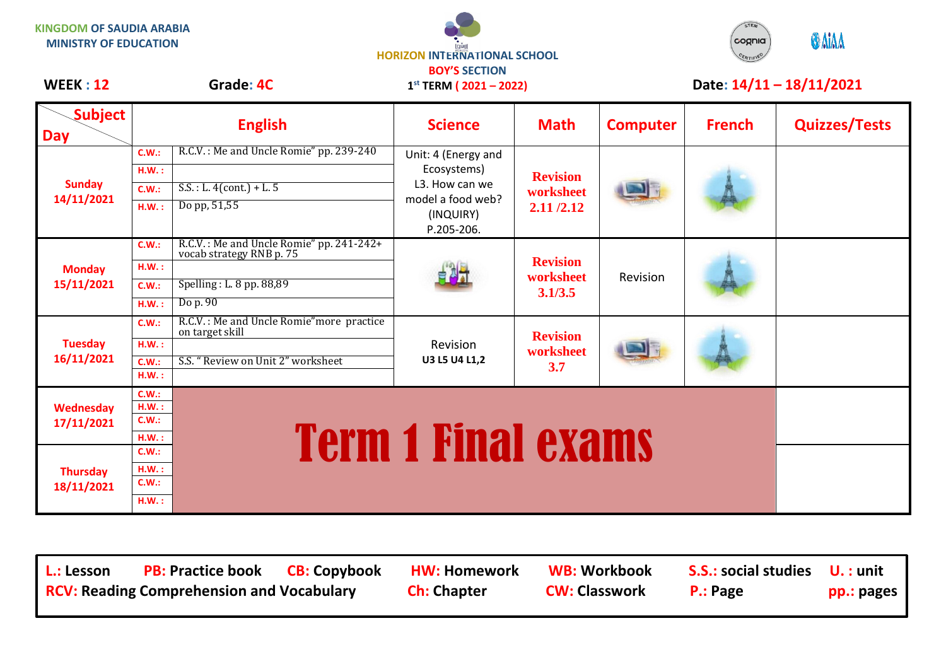**KINGDOM OF SAUDIA ARABIA MINISTRY OF EDUCATION**



**1 st TERM ( 2021 – 2022)**



## WEEK : 12 Grade: 4C 1<sup>st</sup> TERM (2021 – 2022) Date: 14/11 – 18/11/2021

| <b>Subject</b><br><b>Day</b>  |                                  | <b>English</b>                                                                                               | <b>Science</b>                                                                                       | <b>Math</b>                               | <b>Computer</b> | <b>French</b> | <b>Quizzes/Tests</b> |
|-------------------------------|----------------------------------|--------------------------------------------------------------------------------------------------------------|------------------------------------------------------------------------------------------------------|-------------------------------------------|-----------------|---------------|----------------------|
| <b>Sunday</b><br>14/11/2021   | C.W.:<br>H.W.:<br>C.W.:<br>H.W.: | R.C.V.: Me and Uncle Romie" pp. 239-240<br>$S.S.: L. 4 (cont.) + L. 5$<br>Do pp, 51,55                       | Unit: 4 (Energy and<br>Ecosystems)<br>L3. How can we<br>model a food web?<br>(INQUIRY)<br>P.205-206. | <b>Revision</b><br>worksheet<br>2.11/2.12 |                 |               |                      |
| <b>Monday</b><br>15/11/2021   | C.W.:<br>H.W.:<br>C.W.:<br>H.W.: | R.C.V.: Me and Uncle Romie" pp. 241-242+<br>vocab strategy RNB p. 75<br>Spelling: L. 8 pp. 88,89<br>Do p. 90 | 自制计                                                                                                  | <b>Revision</b><br>worksheet<br>3.1/3.5   | Revision        |               |                      |
| <b>Tuesday</b><br>16/11/2021  | C.W.:<br>H.W.:<br>C.W.:<br>HM.:  | R.C.V.: Me and Uncle Romie" more practice<br>on target skill<br>S.S. "Review on Unit 2" worksheet            | <b>Revision</b><br>U3 L5 U4 L1,2                                                                     | <b>Revision</b><br>worksheet<br>3.7       |                 |               |                      |
| Wednesday<br>17/11/2021       | C.W.:<br>H.W.:<br>C.W.:<br>H.W.: | <b>Term 1 Final exams</b>                                                                                    |                                                                                                      |                                           |                 |               |                      |
| <b>Thursday</b><br>18/11/2021 | C.W.:<br>H.W.:<br>C.W.:<br>H.W.: |                                                                                                              |                                                                                                      |                                           |                 |               |                      |

L.: Lesson PB: Practice book CB: Copybook HW: Homework WB: Workbook S.S.: social studies U. : unit **RCV: Reading Comprehension and Vocabulary Ch: Chapter CW: Classwork P.: Page pp.: pages**